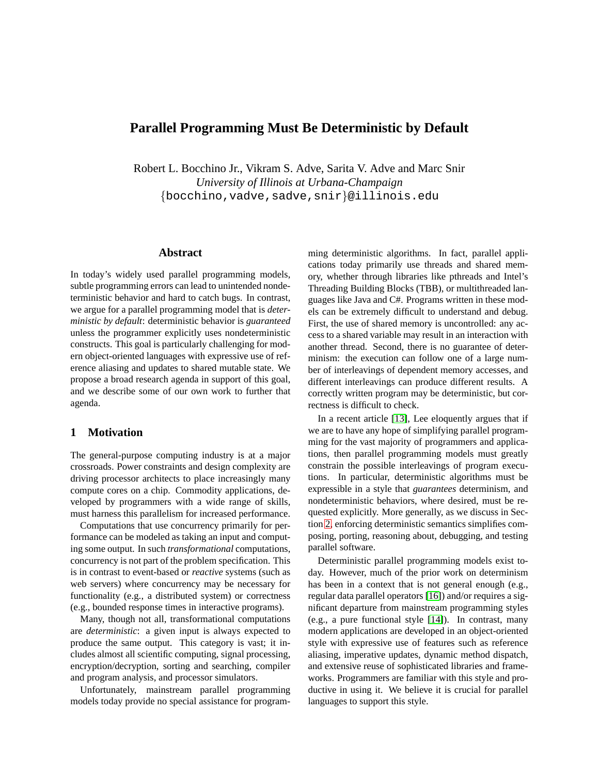# **Parallel Programming Must Be Deterministic by Default**

Robert L. Bocchino Jr., Vikram S. Adve, Sarita V. Adve and Marc Snir *University of Illinois at Urbana-Champaign* {bocchino,vadve,sadve,snir}@illinois.edu

## **Abstract**

In today's widely used parallel programming models, subtle programming errors can lead to unintended nondeterministic behavior and hard to catch bugs. In contrast, we argue for a parallel programming model that is *deterministic by default*: deterministic behavior is *guaranteed* unless the programmer explicitly uses nondeterministic constructs. This goal is particularly challenging for modern object-oriented languages with expressive use of reference aliasing and updates to shared mutable state. We propose a broad research agenda in support of this goal, and we describe some of our own work to further that agenda.

### **1 Motivation**

The general-purpose computing industry is at a major crossroads. Power constraints and design complexity are driving processor architects to place increasingly many compute cores on a chip. Commodity applications, developed by programmers with a wide range of skills, must harness this parallelism for increased performance.

Computations that use concurrency primarily for performance can be modeled as taking an input and computing some output. In such *transformational* computations, concurrency is not part of the problem specification. This is in contrast to event-based or *reactive* systems (such as web servers) where concurrency may be necessary for functionality (e.g., a distributed system) or correctness (e.g., bounded response times in interactive programs).

Many, though not all, transformational computations are *deterministic*: a given input is always expected to produce the same output. This category is vast; it includes almost all scientific computing, signal processing, encryption/decryption, sorting and searching, compiler and program analysis, and processor simulators.

Unfortunately, mainstream parallel programming models today provide no special assistance for programming deterministic algorithms. In fact, parallel applications today primarily use threads and shared memory, whether through libraries like pthreads and Intel's Threading Building Blocks (TBB), or multithreaded languages like Java and C#. Programs written in these models can be extremely difficult to understand and debug. First, the use of shared memory is uncontrolled: any access to a shared variable may result in an interaction with another thread. Second, there is no guarantee of determinism: the execution can follow one of a large number of interleavings of dependent memory accesses, and different interleavings can produce different results. A correctly written program may be deterministic, but correctness is difficult to check.

In a recent article [\[13\]](#page-5-0), Lee eloquently argues that if we are to have any hope of simplifying parallel programming for the vast majority of programmers and applications, then parallel programming models must greatly constrain the possible interleavings of program executions. In particular, deterministic algorithms must be expressible in a style that *guarantees* determinism, and nondeterministic behaviors, where desired, must be requested explicitly. More generally, as we discuss in Section [2,](#page-1-0) enforcing deterministic semantics simplifies composing, porting, reasoning about, debugging, and testing parallel software.

Deterministic parallel programming models exist today. However, much of the prior work on determinism has been in a context that is not general enough (e.g., regular data parallel operators [\[16\]](#page-5-1)) and/or requires a significant departure from mainstream programming styles (e.g., a pure functional style [\[14\]](#page-5-2)). In contrast, many modern applications are developed in an object-oriented style with expressive use of features such as reference aliasing, imperative updates, dynamic method dispatch, and extensive reuse of sophisticated libraries and frameworks. Programmers are familiar with this style and productive in using it. We believe it is crucial for parallel languages to support this style.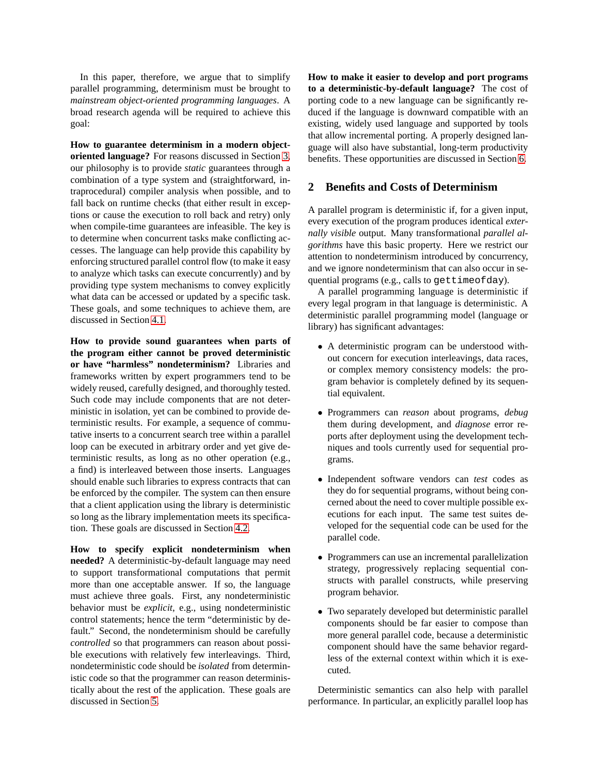In this paper, therefore, we argue that to simplify parallel programming, determinism must be brought to *mainstream object-oriented programming languages*. A broad research agenda will be required to achieve this goal:

**How to guarantee determinism in a modern objectoriented language?** For reasons discussed in Section [3,](#page-2-0) our philosophy is to provide *static* guarantees through a combination of a type system and (straightforward, intraprocedural) compiler analysis when possible, and to fall back on runtime checks (that either result in exceptions or cause the execution to roll back and retry) only when compile-time guarantees are infeasible. The key is to determine when concurrent tasks make conflicting accesses. The language can help provide this capability by enforcing structured parallel control flow (to make it easy to analyze which tasks can execute concurrently) and by providing type system mechanisms to convey explicitly what data can be accessed or updated by a specific task. These goals, and some techniques to achieve them, are discussed in Section [4.1.](#page-3-0)

**How to provide sound guarantees when parts of the program either cannot be proved deterministic or have "harmless" nondeterminism?** Libraries and frameworks written by expert programmers tend to be widely reused, carefully designed, and thoroughly tested. Such code may include components that are not deterministic in isolation, yet can be combined to provide deterministic results. For example, a sequence of commutative inserts to a concurrent search tree within a parallel loop can be executed in arbitrary order and yet give deterministic results, as long as no other operation (e.g., a find) is interleaved between those inserts. Languages should enable such libraries to express contracts that can be enforced by the compiler. The system can then ensure that a client application using the library is deterministic so long as the library implementation meets its specification. These goals are discussed in Section [4.2.](#page-3-1)

**How to specify explicit nondeterminism when needed?** A deterministic-by-default language may need to support transformational computations that permit more than one acceptable answer. If so, the language must achieve three goals. First, any nondeterministic behavior must be *explicit*, e.g., using nondeterministic control statements; hence the term "deterministic by default." Second, the nondeterminism should be carefully *controlled* so that programmers can reason about possible executions with relatively few interleavings. Third, nondeterministic code should be *isolated* from deterministic code so that the programmer can reason deterministically about the rest of the application. These goals are discussed in Section [5.](#page-4-0)

**How to make it easier to develop and port programs to a deterministic-by-default language?** The cost of porting code to a new language can be significantly reduced if the language is downward compatible with an existing, widely used language and supported by tools that allow incremental porting. A properly designed language will also have substantial, long-term productivity benefits. These opportunities are discussed in Section [6.](#page-4-1)

#### <span id="page-1-0"></span>**2 Benefits and Costs of Determinism**

A parallel program is deterministic if, for a given input, every execution of the program produces identical *externally visible* output. Many transformational *parallel algorithms* have this basic property. Here we restrict our attention to nondeterminism introduced by concurrency, and we ignore nondeterminism that can also occur in sequential programs (e.g., calls to gettimeofday).

A parallel programming language is deterministic if every legal program in that language is deterministic. A deterministic parallel programming model (language or library) has significant advantages:

- A deterministic program can be understood without concern for execution interleavings, data races, or complex memory consistency models: the program behavior is completely defined by its sequential equivalent.
- Programmers can *reason* about programs, *debug* them during development, and *diagnose* error reports after deployment using the development techniques and tools currently used for sequential programs.
- Independent software vendors can *test* codes as they do for sequential programs, without being concerned about the need to cover multiple possible executions for each input. The same test suites developed for the sequential code can be used for the parallel code.
- Programmers can use an incremental parallelization strategy, progressively replacing sequential constructs with parallel constructs, while preserving program behavior.
- Two separately developed but deterministic parallel components should be far easier to compose than more general parallel code, because a deterministic component should have the same behavior regardless of the external context within which it is executed.

Deterministic semantics can also help with parallel performance. In particular, an explicitly parallel loop has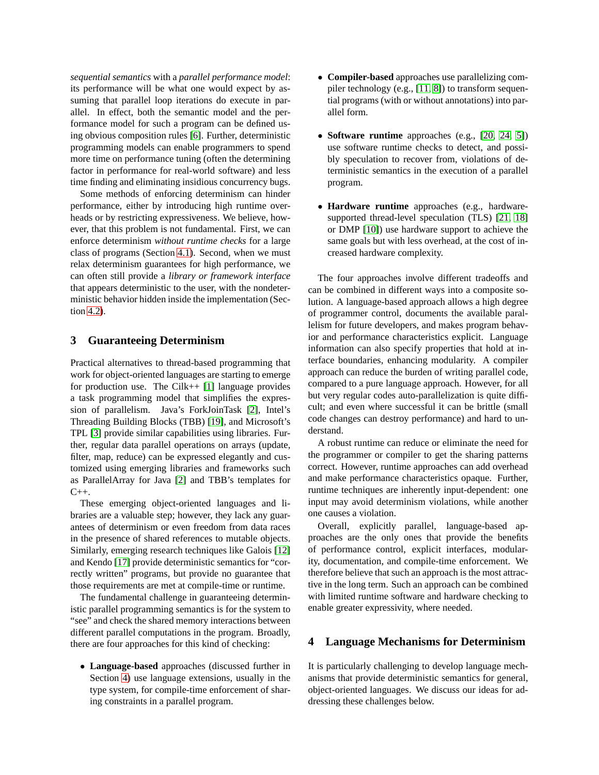*sequential semantics* with a *parallel performance model*: its performance will be what one would expect by assuming that parallel loop iterations do execute in parallel. In effect, both the semantic model and the performance model for such a program can be defined using obvious composition rules [\[6\]](#page-5-3). Further, deterministic programming models can enable programmers to spend more time on performance tuning (often the determining factor in performance for real-world software) and less time finding and eliminating insidious concurrency bugs.

Some methods of enforcing determinism can hinder performance, either by introducing high runtime overheads or by restricting expressiveness. We believe, however, that this problem is not fundamental. First, we can enforce determinism *without runtime checks* for a large class of programs (Section [4.1\)](#page-3-0). Second, when we must relax determinism guarantees for high performance, we can often still provide a *library or framework interface* that appears deterministic to the user, with the nondeterministic behavior hidden inside the implementation (Section [4.2\)](#page-3-1).

### <span id="page-2-0"></span>**3 Guaranteeing Determinism**

Practical alternatives to thread-based programming that work for object-oriented languages are starting to emerge for production use. The Cilk++ [\[1\]](#page-5-4) language provides a task programming model that simplifies the expression of parallelism. Java's ForkJoinTask [\[2\]](#page-5-5), Intel's Threading Building Blocks (TBB) [\[19\]](#page-5-6), and Microsoft's TPL [\[3\]](#page-5-7) provide similar capabilities using libraries. Further, regular data parallel operations on arrays (update, filter, map, reduce) can be expressed elegantly and customized using emerging libraries and frameworks such as ParallelArray for Java [\[2\]](#page-5-5) and TBB's templates for  $C_{++}$ .

These emerging object-oriented languages and libraries are a valuable step; however, they lack any guarantees of determinism or even freedom from data races in the presence of shared references to mutable objects. Similarly, emerging research techniques like Galois [\[12\]](#page-5-8) and Kendo [\[17\]](#page-5-9) provide deterministic semantics for "correctly written" programs, but provide no guarantee that those requirements are met at compile-time or runtime.

The fundamental challenge in guaranteeing deterministic parallel programming semantics is for the system to "see" and check the shared memory interactions between different parallel computations in the program. Broadly, there are four approaches for this kind of checking:

• **Language-based** approaches (discussed further in Section [4\)](#page-2-1) use language extensions, usually in the type system, for compile-time enforcement of sharing constraints in a parallel program.

- **Compiler-based** approaches use parallelizing compiler technology (e.g., [\[11,](#page-5-10) [8\]](#page-5-11)) to transform sequential programs (with or without annotations) into parallel form.
- **Software runtime** approaches (e.g., [\[20,](#page-5-12) [24,](#page-5-13) [5\]](#page-5-14)) use software runtime checks to detect, and possibly speculation to recover from, violations of deterministic semantics in the execution of a parallel program.
- **Hardware runtime** approaches (e.g., hardwaresupported thread-level speculation (TLS) [\[21,](#page-5-15) [18\]](#page-5-16) or DMP [\[10\]](#page-5-17)) use hardware support to achieve the same goals but with less overhead, at the cost of increased hardware complexity.

The four approaches involve different tradeoffs and can be combined in different ways into a composite solution. A language-based approach allows a high degree of programmer control, documents the available parallelism for future developers, and makes program behavior and performance characteristics explicit. Language information can also specify properties that hold at interface boundaries, enhancing modularity. A compiler approach can reduce the burden of writing parallel code, compared to a pure language approach. However, for all but very regular codes auto-parallelization is quite difficult; and even where successful it can be brittle (small code changes can destroy performance) and hard to understand.

A robust runtime can reduce or eliminate the need for the programmer or compiler to get the sharing patterns correct. However, runtime approaches can add overhead and make performance characteristics opaque. Further, runtime techniques are inherently input-dependent: one input may avoid determinism violations, while another one causes a violation.

Overall, explicitly parallel, language-based approaches are the only ones that provide the benefits of performance control, explicit interfaces, modularity, documentation, and compile-time enforcement. We therefore believe that such an approach is the most attractive in the long term. Such an approach can be combined with limited runtime software and hardware checking to enable greater expressivity, where needed.

### <span id="page-2-1"></span>**4 Language Mechanisms for Determinism**

It is particularly challenging to develop language mechanisms that provide deterministic semantics for general, object-oriented languages. We discuss our ideas for addressing these challenges below.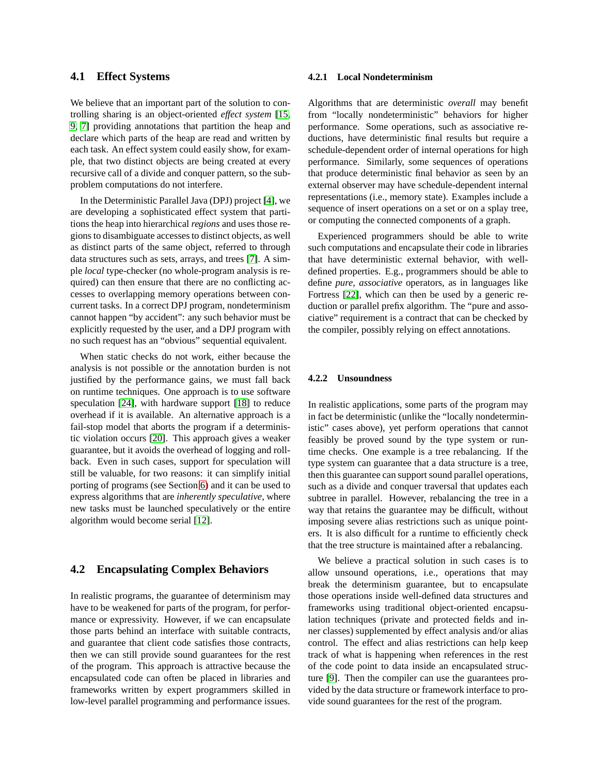### <span id="page-3-0"></span>**4.1 Effect Systems**

We believe that an important part of the solution to controlling sharing is an object-oriented *effect system* [\[15,](#page-5-18) [9,](#page-5-19) [7\]](#page-5-20) providing annotations that partition the heap and declare which parts of the heap are read and written by each task. An effect system could easily show, for example, that two distinct objects are being created at every recursive call of a divide and conquer pattern, so the subproblem computations do not interfere.

In the Deterministic Parallel Java (DPJ) project [\[4\]](#page-5-21), we are developing a sophisticated effect system that partitions the heap into hierarchical *regions* and uses those regions to disambiguate accesses to distinct objects, as well as distinct parts of the same object, referred to through data structures such as sets, arrays, and trees [\[7\]](#page-5-20). A simple *local* type-checker (no whole-program analysis is required) can then ensure that there are no conflicting accesses to overlapping memory operations between concurrent tasks. In a correct DPJ program, nondeterminism cannot happen "by accident": any such behavior must be explicitly requested by the user, and a DPJ program with no such request has an "obvious" sequential equivalent.

When static checks do not work, either because the analysis is not possible or the annotation burden is not justified by the performance gains, we must fall back on runtime techniques. One approach is to use software speculation [\[24\]](#page-5-13), with hardware support [\[18\]](#page-5-16) to reduce overhead if it is available. An alternative approach is a fail-stop model that aborts the program if a deterministic violation occurs [\[20\]](#page-5-12). This approach gives a weaker guarantee, but it avoids the overhead of logging and rollback. Even in such cases, support for speculation will still be valuable, for two reasons: it can simplify initial porting of programs (see Section [6\)](#page-4-1) and it can be used to express algorithms that are *inherently speculative*, where new tasks must be launched speculatively or the entire algorithm would become serial [\[12\]](#page-5-8).

### <span id="page-3-1"></span>**4.2 Encapsulating Complex Behaviors**

In realistic programs, the guarantee of determinism may have to be weakened for parts of the program, for performance or expressivity. However, if we can encapsulate those parts behind an interface with suitable contracts, and guarantee that client code satisfies those contracts, then we can still provide sound guarantees for the rest of the program. This approach is attractive because the encapsulated code can often be placed in libraries and frameworks written by expert programmers skilled in low-level parallel programming and performance issues.

#### <span id="page-3-2"></span>**4.2.1 Local Nondeterminism**

Algorithms that are deterministic *overall* may benefit from "locally nondeterministic" behaviors for higher performance. Some operations, such as associative reductions, have deterministic final results but require a schedule-dependent order of internal operations for high performance. Similarly, some sequences of operations that produce deterministic final behavior as seen by an external observer may have schedule-dependent internal representations (i.e., memory state). Examples include a sequence of insert operations on a set or on a splay tree, or computing the connected components of a graph.

Experienced programmers should be able to write such computations and encapsulate their code in libraries that have deterministic external behavior, with welldefined properties. E.g., programmers should be able to define *pure, associative* operators, as in languages like Fortress [\[22\]](#page-5-22), which can then be used by a generic reduction or parallel prefix algorithm. The "pure and associative" requirement is a contract that can be checked by the compiler, possibly relying on effect annotations.

#### **4.2.2 Unsoundness**

In realistic applications, some parts of the program may in fact be deterministic (unlike the "locally nondeterministic" cases above), yet perform operations that cannot feasibly be proved sound by the type system or runtime checks. One example is a tree rebalancing. If the type system can guarantee that a data structure is a tree, then this guarantee can support sound parallel operations, such as a divide and conquer traversal that updates each subtree in parallel. However, rebalancing the tree in a way that retains the guarantee may be difficult, without imposing severe alias restrictions such as unique pointers. It is also difficult for a runtime to efficiently check that the tree structure is maintained after a rebalancing.

We believe a practical solution in such cases is to allow unsound operations, i.e., operations that may break the determinism guarantee, but to encapsulate those operations inside well-defined data structures and frameworks using traditional object-oriented encapsulation techniques (private and protected fields and inner classes) supplemented by effect analysis and/or alias control. The effect and alias restrictions can help keep track of what is happening when references in the rest of the code point to data inside an encapsulated structure [\[9\]](#page-5-19). Then the compiler can use the guarantees provided by the data structure or framework interface to provide sound guarantees for the rest of the program.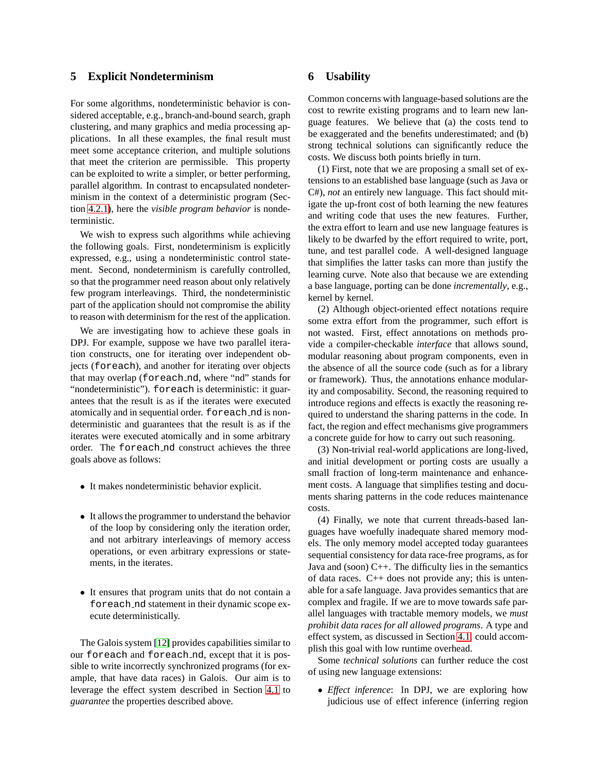### <span id="page-4-0"></span>**5 Explicit Nondeterminism**

For some algorithms, nondeterministic behavior is considered acceptable, e.g., branch-and-bound search, graph clustering, and many graphics and media processing applications. In all these examples, the final result must meet some acceptance criterion, and multiple solutions that meet the criterion are permissible. This property can be exploited to write a simpler, or better performing, parallel algorithm. In contrast to encapsulated nondeterminism in the context of a deterministic program (Section [4.2.1\)](#page-3-2), here the *visible program behavior* is nondeterministic.

We wish to express such algorithms while achieving the following goals. First, nondeterminism is explicitly expressed, e.g., using a nondeterministic control statement. Second, nondeterminism is carefully controlled, so that the programmer need reason about only relatively few program interleavings. Third, the nondeterministic part of the application should not compromise the ability to reason with determinism for the rest of the application.

We are investigating how to achieve these goals in DPJ. For example, suppose we have two parallel iteration constructs, one for iterating over independent objects (foreach), and another for iterating over objects that may overlap (foreach nd, where "nd" stands for "nondeterministic"). foreach is deterministic: it guarantees that the result is as if the iterates were executed atomically and in sequential order. foreach nd is nondeterministic and guarantees that the result is as if the iterates were executed atomically and in some arbitrary order. The foreach nd construct achieves the three goals above as follows:

- It makes nondeterministic behavior explicit.
- It allows the programmer to understand the behavior of the loop by considering only the iteration order, and not arbitrary interleavings of memory access operations, or even arbitrary expressions or statements, in the iterates.
- It ensures that program units that do not contain a foreach nd statement in their dynamic scope execute deterministically.

The Galois system [\[12\]](#page-5-8) provides capabilities similar to our foreach and foreach nd, except that it is possible to write incorrectly synchronized programs (for example, that have data races) in Galois. Our aim is to leverage the effect system described in Section [4.1](#page-3-0) to *guarantee* the properties described above.

### <span id="page-4-1"></span>**6 Usability**

Common concerns with language-based solutions are the cost to rewrite existing programs and to learn new language features. We believe that (a) the costs tend to be exaggerated and the benefits underestimated; and (b) strong technical solutions can significantly reduce the costs. We discuss both points briefly in turn.

(1) First, note that we are proposing a small set of extensions to an established base language (such as Java or C#), *not* an entirely new language. This fact should mitigate the up-front cost of both learning the new features and writing code that uses the new features. Further, the extra effort to learn and use new language features is likely to be dwarfed by the effort required to write, port, tune, and test parallel code. A well-designed language that simplifies the latter tasks can more than justify the learning curve. Note also that because we are extending a base language, porting can be done *incrementally*, e.g., kernel by kernel.

(2) Although object-oriented effect notations require some extra effort from the programmer, such effort is not wasted. First, effect annotations on methods provide a compiler-checkable *interface* that allows sound, modular reasoning about program components, even in the absence of all the source code (such as for a library or framework). Thus, the annotations enhance modularity and composability. Second, the reasoning required to introduce regions and effects is exactly the reasoning required to understand the sharing patterns in the code. In fact, the region and effect mechanisms give programmers a concrete guide for how to carry out such reasoning.

(3) Non-trivial real-world applications are long-lived, and initial development or porting costs are usually a small fraction of long-term maintenance and enhancement costs. A language that simplifies testing and documents sharing patterns in the code reduces maintenance costs.

(4) Finally, we note that current threads-based languages have woefully inadequate shared memory models. The only memory model accepted today guarantees sequential consistency for data race-free programs, as for Java and (soon) C++. The difficulty lies in the semantics of data races. C++ does not provide any; this is untenable for a safe language. Java provides semantics that are complex and fragile. If we are to move towards safe parallel languages with tractable memory models, we *must prohibit data races for all allowed programs*. A type and effect system, as discussed in Section [4.1,](#page-3-0) could accomplish this goal with low runtime overhead.

Some *technical solutions* can further reduce the cost of using new language extensions:

• *Effect inference*: In DPJ, we are exploring how judicious use of effect inference (inferring region